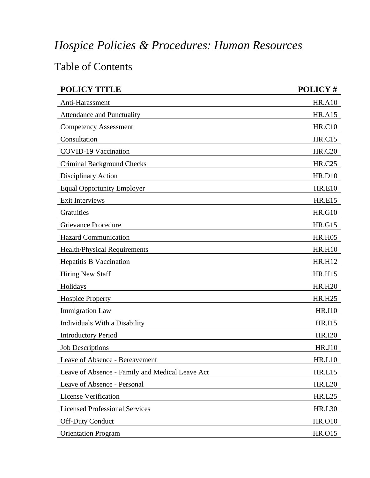## *Hospice Policies & Procedures: Human Resources*

## Table of Contents

| <b>POLICY TITLE</b>                             | POLICY#       |
|-------------------------------------------------|---------------|
| Anti-Harassment                                 | <b>HR.A10</b> |
| <b>Attendance and Punctuality</b>               | <b>HR.A15</b> |
| <b>Competency Assessment</b>                    | <b>HR.C10</b> |
| Consultation                                    | <b>HR.C15</b> |
| <b>COVID-19 Vaccination</b>                     | <b>HR.C20</b> |
| <b>Criminal Background Checks</b>               | <b>HR.C25</b> |
| Disciplinary Action                             | <b>HR.D10</b> |
| <b>Equal Opportunity Employer</b>               | <b>HR.E10</b> |
| Exit Interviews                                 | <b>HR.E15</b> |
| Gratuities                                      | <b>HR.G10</b> |
| Grievance Procedure                             | <b>HR.G15</b> |
| <b>Hazard Communication</b>                     | <b>HR.H05</b> |
| Health/Physical Requirements                    | <b>HR.H10</b> |
| <b>Hepatitis B Vaccination</b>                  | <b>HR.H12</b> |
| <b>Hiring New Staff</b>                         | <b>HR.H15</b> |
| Holidays                                        | <b>HR.H20</b> |
| <b>Hospice Property</b>                         | <b>HR.H25</b> |
| <b>Immigration Law</b>                          | <b>HR.I10</b> |
| Individuals With a Disability                   | <b>HR.I15</b> |
| <b>Introductory Period</b>                      | <b>HR.I20</b> |
| <b>Job Descriptions</b>                         | <b>HR.J10</b> |
| Leave of Absence - Bereavement                  | <b>HR.L10</b> |
| Leave of Absence - Family and Medical Leave Act | HR.L15        |
| Leave of Absence - Personal                     | <b>HR.L20</b> |
| License Verification                            | <b>HR.L25</b> |
| <b>Licensed Professional Services</b>           | <b>HR.L30</b> |
| <b>Off-Duty Conduct</b>                         | <b>HR.O10</b> |
| <b>Orientation Program</b>                      | <b>HR.015</b> |